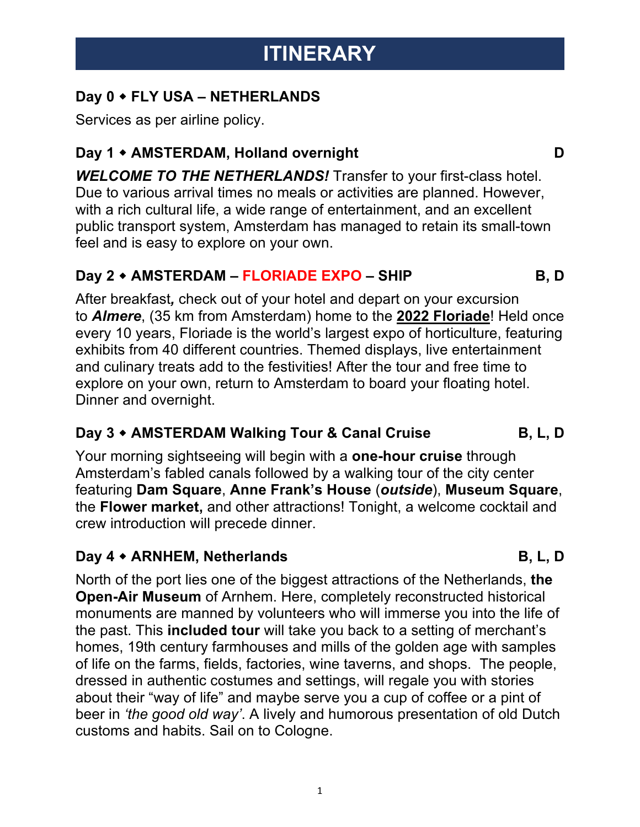## **ITINERARY**

## **Day 0** w **FLY USA – NETHERLANDS**

Services as per airline policy.

## **Day 1 • AMSTERDAM, Holland overnight D**

*WELCOME TO THE NETHERLANDS!* Transfer to your first-class hotel. Due to various arrival times no meals or activities are planned. However, with a rich cultural life, a wide range of entertainment, and an excellent public transport system, Amsterdam has managed to retain its small-town feel and is easy to explore on your own.

## **Day 2** w **AMSTERDAM – FLORIADE EXPO – SHIP B, D**

After breakfast*,* check out of your hotel and depart on your excursion to *Almere*, (35 km from Amsterdam) home to the **2022 Floriade**! Held once every 10 years, Floriade is the world's largest expo of horticulture, featuring exhibits from 40 different countries. Themed displays, live entertainment and culinary treats add to the festivities! After the tour and free time to explore on your own, return to Amsterdam to board your floating hotel. Dinner and overnight.

## **Day 3** w **AMSTERDAM Walking Tour & Canal Cruise B, L, D**

Your morning sightseeing will begin with a **one-hour cruise** through Amsterdam's fabled canals followed by a walking tour of the city center featuring **Dam Square**, **Anne Frank's House** (*outside*), **Museum Square**, the **Flower market,** and other attractions! Tonight, a welcome cocktail and crew introduction will precede dinner.

## **Day 4 • ARNHEM, Netherlands B, L, D**

North of the port lies one of the biggest attractions of the Netherlands, **the Open-Air Museum** of Arnhem. Here, completely reconstructed historical monuments are manned by volunteers who will immerse you into the life of the past. This **included tour** will take you back to a setting of merchant's homes, 19th century farmhouses and mills of the golden age with samples of life on the farms, fields, factories, wine taverns, and shops. The people, dressed in authentic costumes and settings, will regale you with stories about their "way of life" and maybe serve you a cup of coffee or a pint of beer in *'the good old way'*. A lively and humorous presentation of old Dutch customs and habits. Sail on to Cologne.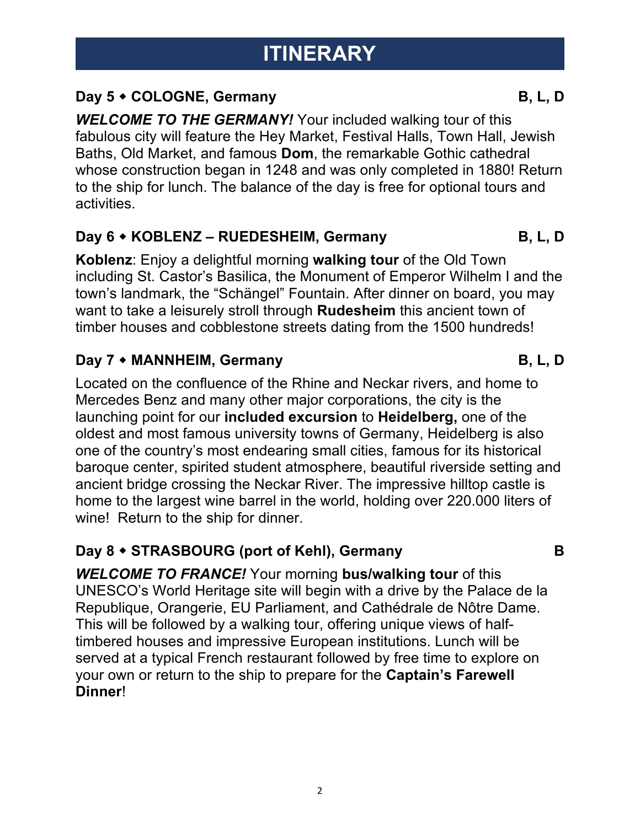## **Day 5**  $\bullet$  **COLOGNE, Germany B, L, D**

*WELCOME TO THE GERMANY!* Your included walking tour of this fabulous city will feature the Hey Market, Festival Halls, Town Hall, Jewish Baths, Old Market, and famous **Dom**, the remarkable Gothic cathedral whose construction began in 1248 and was only completed in 1880! Return to the ship for lunch. The balance of the day is free for optional tours and activities.

#### **Day 6 • KOBLENZ – RUEDESHEIM, Germany B, L, D**

**Koblenz**: Enjoy a delightful morning **walking tour** of the Old Town including St. Castor's Basilica, the Monument of Emperor Wilhelm I and the town's landmark, the "Schängel" Fountain. After dinner on board, you may want to take a leisurely stroll through **Rudesheim** this ancient town of timber houses and cobblestone streets dating from the 1500 hundreds!

### **Day 7 • MANNHEIM, Germany <b>B**, L, D

Located on the confluence of the Rhine and Neckar rivers, and home to Mercedes Benz and many other major corporations, the city is the launching point for our **included excursion** to **Heidelberg,** one of the oldest and most famous university towns of Germany, Heidelberg is also one of the country's most endearing small cities, famous for its historical baroque center, spirited student atmosphere, beautiful riverside setting and ancient bridge crossing the Neckar River. The impressive hilltop castle is home to the largest wine barrel in the world, holding over 220.000 liters of wine! Return to the ship for dinner.

## **Day 8 • STRASBOURG (port of Kehl), Germany B**

*WELCOME TO FRANCE!* Your morning **bus/walking tour** of this UNESCO's World Heritage site will begin with a drive by the Palace de la Republique, Orangerie, EU Parliament, and Cathédrale de Nôtre Dame. This will be followed by a walking tour, offering unique views of halftimbered houses and impressive European institutions. Lunch will be served at a typical French restaurant followed by free time to explore on your own or return to the ship to prepare for the **Captain's Farewell Dinner**!